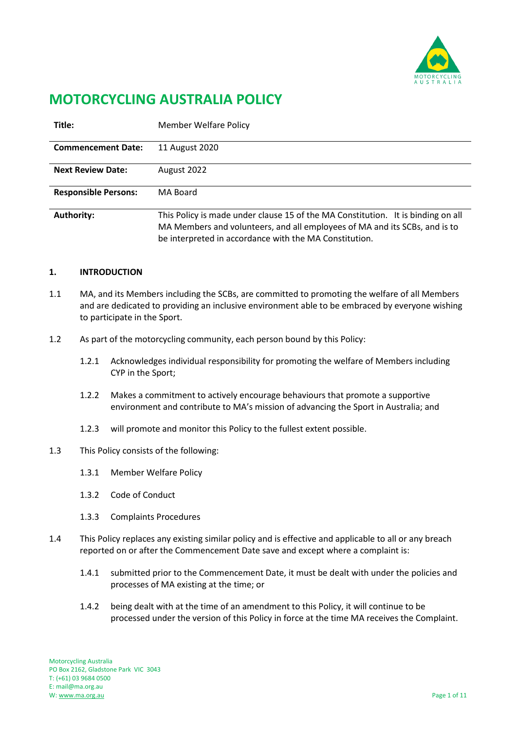

# **MOTORCYCLING AUSTRALIA POLICY**

| Title:                      | <b>Member Welfare Policy</b>                                                                                                                                                                                             |
|-----------------------------|--------------------------------------------------------------------------------------------------------------------------------------------------------------------------------------------------------------------------|
| <b>Commencement Date:</b>   | 11 August 2020                                                                                                                                                                                                           |
| <b>Next Review Date:</b>    | August 2022                                                                                                                                                                                                              |
| <b>Responsible Persons:</b> | MA Board                                                                                                                                                                                                                 |
| <b>Authority:</b>           | This Policy is made under clause 15 of the MA Constitution. It is binding on all<br>MA Members and volunteers, and all employees of MA and its SCBs, and is to<br>be interpreted in accordance with the MA Constitution. |

## **1. INTRODUCTION**

- 1.1 MA, and its Members including the SCBs, are committed to promoting the welfare of all Members and are dedicated to providing an inclusive environment able to be embraced by everyone wishing to participate in the Sport.
- 1.2 As part of the motorcycling community, each person bound by this Policy:
	- 1.2.1 Acknowledges individual responsibility for promoting the welfare of Members including CYP in the Sport;
	- 1.2.2 Makes a commitment to actively encourage behaviours that promote a supportive environment and contribute to MA's mission of advancing the Sport in Australia; and
	- 1.2.3 will promote and monitor this Policy to the fullest extent possible.
- 1.3 This Policy consists of the following:
	- 1.3.1 Member Welfare Policy
	- 1.3.2 Code of Conduct
	- 1.3.3 Complaints Procedures
- 1.4 This Policy replaces any existing similar policy and is effective and applicable to all or any breach reported on or after the Commencement Date save and except where a complaint is:
	- 1.4.1 submitted prior to the Commencement Date, it must be dealt with under the policies and processes of MA existing at the time; or
	- 1.4.2 being dealt with at the time of an amendment to this Policy, it will continue to be processed under the version of this Policy in force at the time MA receives the Complaint.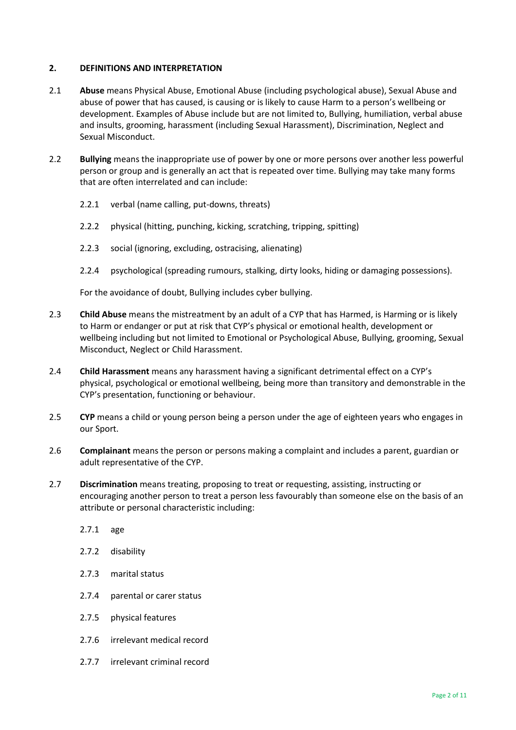## **2. DEFINITIONS AND INTERPRETATION**

- 2.1 **Abuse** means Physical Abuse, Emotional Abuse (including psychological abuse), Sexual Abuse and abuse of power that has caused, is causing or is likely to cause Harm to a person's wellbeing or development. Examples of Abuse include but are not limited to, Bullying, humiliation, verbal abuse and insults, grooming, harassment (including Sexual Harassment), Discrimination, Neglect and Sexual Misconduct.
- 2.2 **Bullying** means the inappropriate use of power by one or more persons over another less powerful person or group and is generally an act that is repeated over time. Bullying may take many forms that are often interrelated and can include:
	- 2.2.1 verbal (name calling, put-downs, threats)
	- 2.2.2 physical (hitting, punching, kicking, scratching, tripping, spitting)
	- 2.2.3 social (ignoring, excluding, ostracising, alienating)
	- 2.2.4 psychological (spreading rumours, stalking, dirty looks, hiding or damaging possessions).

For the avoidance of doubt, Bullying includes cyber bullying.

- 2.3 **Child Abuse** means the mistreatment by an adult of a CYP that has Harmed, is Harming or is likely to Harm or endanger or put at risk that CYP's physical or emotional health, development or wellbeing including but not limited to Emotional or Psychological Abuse, Bullying, grooming, Sexual Misconduct, Neglect or Child Harassment.
- 2.4 **Child Harassment** means any harassment having a significant detrimental effect on a CYP's physical, psychological or emotional wellbeing, being more than transitory and demonstrable in the CYP's presentation, functioning or behaviour.
- 2.5 **CYP** means a child or young person being a person under the age of eighteen years who engages in our Sport.
- 2.6 **Complainant** means the person or persons making a complaint and includes a parent, guardian or adult representative of the CYP.
- 2.7 **Discrimination** means treating, proposing to treat or requesting, assisting, instructing or encouraging another person to treat a person less favourably than someone else on the basis of an attribute or personal characteristic including:
	- 2.7.1 age
	- 2.7.2 disability
	- 2.7.3 marital status
	- 2.7.4 parental or carer status
	- 2.7.5 physical features
	- 2.7.6 irrelevant medical record
	- 2.7.7 irrelevant criminal record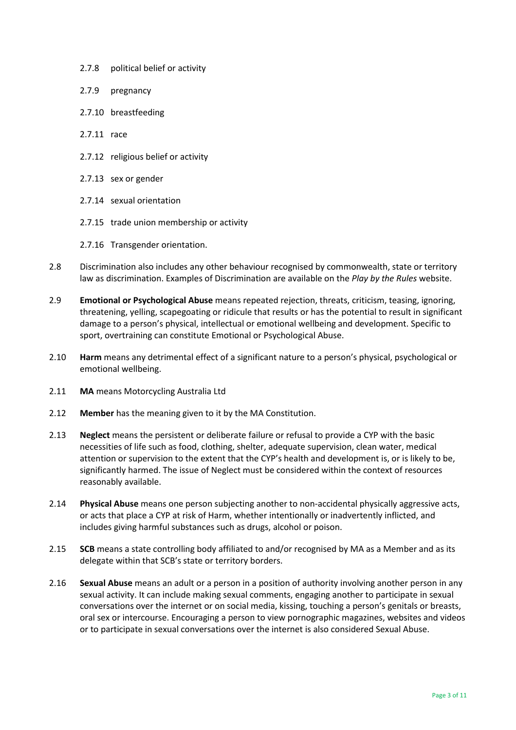- 2.7.8 political belief or activity
- 2.7.9 pregnancy
- 2.7.10 breastfeeding
- 2.7.11 race
- 2.7.12 religious belief or activity
- 2.7.13 sex or gender
- 2.7.14 sexual orientation
- 2.7.15 trade union membership or activity
- 2.7.16 Transgender orientation.
- 2.8 Discrimination also includes any other behaviour recognised by commonwealth, state or territory law as discrimination. Examples of Discrimination are available on the *Play by the Rules* website.
- 2.9 **Emotional or Psychological Abuse** means repeated rejection, threats, criticism, teasing, ignoring, threatening, yelling, scapegoating or ridicule that results or has the potential to result in significant damage to a person's physical, intellectual or emotional wellbeing and development. Specific to sport, overtraining can constitute Emotional or Psychological Abuse.
- 2.10 **Harm** means any detrimental effect of a significant nature to a person's physical, psychological or emotional wellbeing.
- 2.11 **MA** means Motorcycling Australia Ltd
- 2.12 **Member** has the meaning given to it by the MA Constitution.
- 2.13 **Neglect** means the persistent or deliberate failure or refusal to provide a CYP with the basic necessities of life such as food, clothing, shelter, adequate supervision, clean water, medical attention or supervision to the extent that the CYP's health and development is, or is likely to be, significantly harmed. The issue of Neglect must be considered within the context of resources reasonably available.
- 2.14 **Physical Abuse** means one person subjecting another to non-accidental physically aggressive acts, or acts that place a CYP at risk of Harm, whether intentionally or inadvertently inflicted, and includes giving harmful substances such as drugs, alcohol or poison.
- 2.15 **SCB** means a state controlling body affiliated to and/or recognised by MA as a Member and as its delegate within that SCB's state or territory borders.
- 2.16 **Sexual Abuse** means an adult or a person in a position of authority involving another person in any sexual activity. It can include making sexual comments, engaging another to participate in sexual conversations over the internet or on social media, kissing, touching a person's genitals or breasts, oral sex or intercourse. Encouraging a person to view pornographic magazines, websites and videos or to participate in sexual conversations over the internet is also considered Sexual Abuse.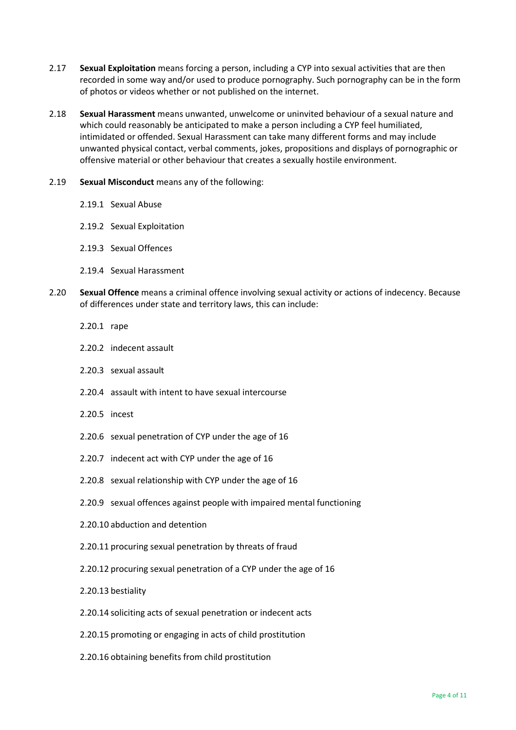- 2.17 **Sexual Exploitation** means forcing a person, including a CYP into sexual activities that are then recorded in some way and/or used to produce pornography. Such pornography can be in the form of photos or videos whether or not published on the internet.
- 2.18 **Sexual Harassment** means unwanted, unwelcome or uninvited behaviour of a sexual nature and which could reasonably be anticipated to make a person including a CYP feel humiliated, intimidated or offended. Sexual Harassment can take many different forms and may include unwanted physical contact, verbal comments, jokes, propositions and displays of pornographic or offensive material or other behaviour that creates a sexually hostile environment.
- 2.19 **Sexual Misconduct** means any of the following:
	- 2.19.1 Sexual Abuse
	- 2.19.2 Sexual Exploitation
	- 2.19.3 Sexual Offences
	- 2.19.4 Sexual Harassment
- 2.20 **Sexual Offence** means a criminal offence involving sexual activity or actions of indecency. Because of differences under state and territory laws, this can include:
	- 2.20.1 rape
	- 2.20.2 indecent assault
	- 2.20.3 sexual assault
	- 2.20.4 assault with intent to have sexual intercourse
	- 2.20.5 incest
	- 2.20.6 sexual penetration of CYP under the age of 16
	- 2.20.7 indecent act with CYP under the age of 16
	- 2.20.8 sexual relationship with CYP under the age of 16
	- 2.20.9 sexual offences against people with impaired mental functioning
	- 2.20.10 abduction and detention
	- 2.20.11 procuring sexual penetration by threats of fraud
	- 2.20.12 procuring sexual penetration of a CYP under the age of 16
	- 2.20.13 bestiality
	- 2.20.14 soliciting acts of sexual penetration or indecent acts
	- 2.20.15 promoting or engaging in acts of child prostitution
	- 2.20.16 obtaining benefits from child prostitution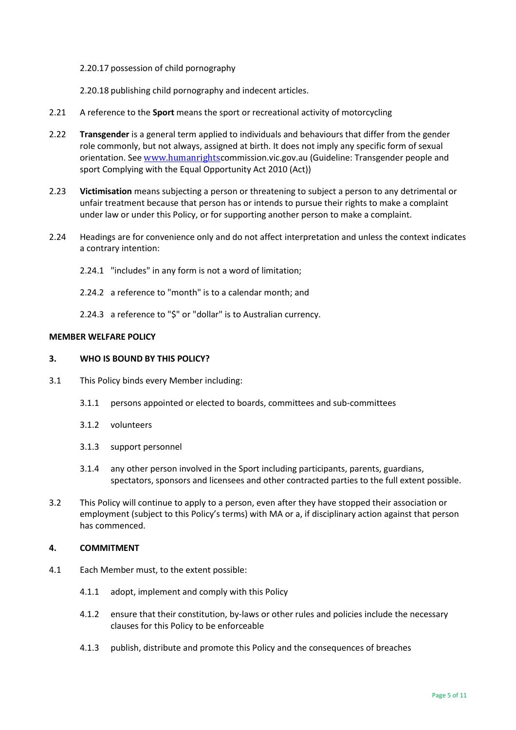#### 2.20.17 possession of child pornography

2.20.18 publishing child pornography and indecent articles.

- 2.21 A reference to the **Sport** means the sport or recreational activity of motorcycling
- 2.22 **Transgender** is a general term applied to individuals and behaviours that differ from the gender role commonly, but not always, assigned at birth. It does not imply any specific form of sexual orientation. See [www.humanrights](http://www.humanrights/)commission.vic.gov.au (Guideline: Transgender people and sport Complying with the Equal Opportunity Act 2010 (Act))
- 2.23 **Victimisation** means subjecting a person or threatening to subject a person to any detrimental or unfair treatment because that person has or intends to pursue their rights to make a complaint under law or under this Policy, or for supporting another person to make a complaint.
- 2.24 Headings are for convenience only and do not affect interpretation and unless the context indicates a contrary intention:
	- 2.24.1 "includes" in any form is not a word of limitation;
	- 2.24.2 a reference to "month" is to a calendar month; and
	- 2.24.3 a reference to "\$" or "dollar" is to Australian currency.

## **MEMBER WELFARE POLICY**

## **3. WHO IS BOUND BY THIS POLICY?**

- 3.1 This Policy binds every Member including:
	- 3.1.1 persons appointed or elected to boards, committees and sub-committees
	- 3.1.2 volunteers
	- 3.1.3 support personnel
	- 3.1.4 any other person involved in the Sport including participants, parents, guardians, spectators, sponsors and licensees and other contracted parties to the full extent possible.
- 3.2 This Policy will continue to apply to a person, even after they have stopped their association or employment (subject to this Policy's terms) with MA or a, if disciplinary action against that person has commenced.

## **4. COMMITMENT**

- 4.1 Each Member must, to the extent possible:
	- 4.1.1 adopt, implement and comply with this Policy
	- 4.1.2 ensure that their constitution, by-laws or other rules and policies include the necessary clauses for this Policy to be enforceable
	- 4.1.3 publish, distribute and promote this Policy and the consequences of breaches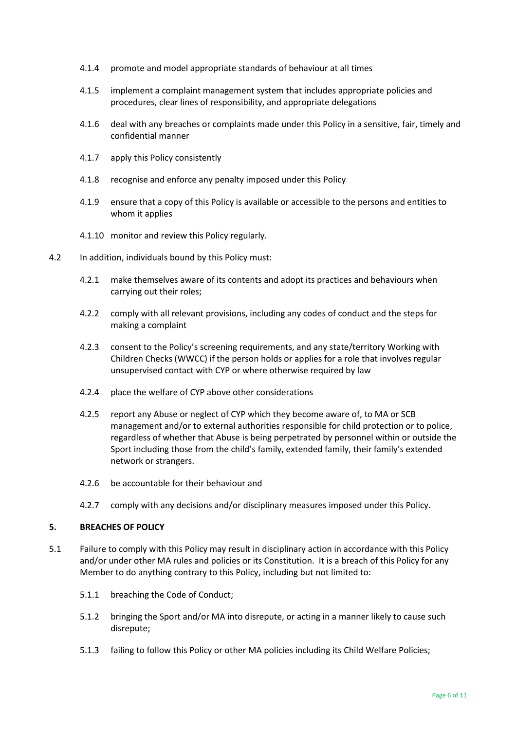- 4.1.4 promote and model appropriate standards of behaviour at all times
- 4.1.5 implement a complaint management system that includes appropriate policies and procedures, clear lines of responsibility, and appropriate delegations
- 4.1.6 deal with any breaches or complaints made under this Policy in a sensitive, fair, timely and confidential manner
- 4.1.7 apply this Policy consistently
- 4.1.8 recognise and enforce any penalty imposed under this Policy
- 4.1.9 ensure that a copy of this Policy is available or accessible to the persons and entities to whom it applies
- 4.1.10 monitor and review this Policy regularly.
- 4.2 In addition, individuals bound by this Policy must:
	- 4.2.1 make themselves aware of its contents and adopt its practices and behaviours when carrying out their roles;
	- 4.2.2 comply with all relevant provisions, including any codes of conduct and the steps for making a complaint
	- 4.2.3 consent to the Policy's screening requirements, and any state/territory Working with Children Checks (WWCC) if the person holds or applies for a role that involves regular unsupervised contact with CYP or where otherwise required by law
	- 4.2.4 place the welfare of CYP above other considerations
	- 4.2.5 report any Abuse or neglect of CYP which they become aware of, to MA or SCB management and/or to external authorities responsible for child protection or to police, regardless of whether that Abuse is being perpetrated by personnel within or outside the Sport including those from the child's family, extended family, their family's extended network or strangers.
	- 4.2.6 be accountable for their behaviour and
	- 4.2.7 comply with any decisions and/or disciplinary measures imposed under this Policy.

## **5. BREACHES OF POLICY**

- 5.1 Failure to comply with this Policy may result in disciplinary action in accordance with this Policy and/or under other MA rules and policies or its Constitution. It is a breach of this Policy for any Member to do anything contrary to this Policy, including but not limited to:
	- 5.1.1 breaching the Code of Conduct;
	- 5.1.2 bringing the Sport and/or MA into disrepute, or acting in a manner likely to cause such disrepute;
	- 5.1.3 failing to follow this Policy or other MA policies including its Child Welfare Policies;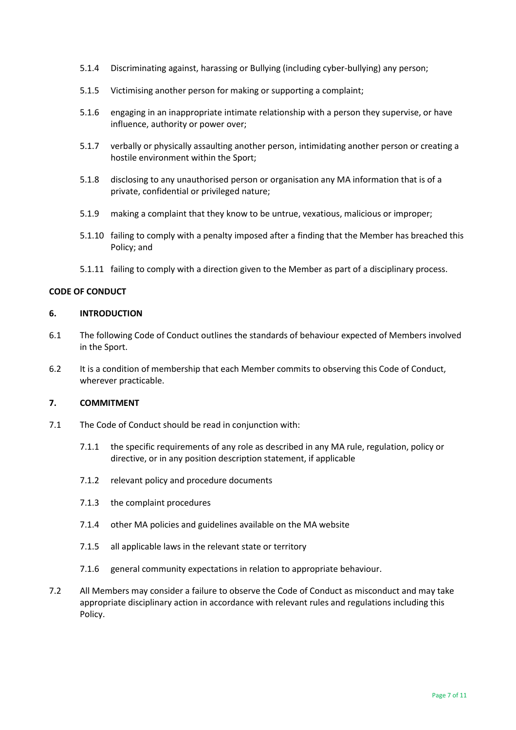- 5.1.4 Discriminating against, harassing or Bullying (including cyber-bullying) any person;
- 5.1.5 Victimising another person for making or supporting a complaint;
- 5.1.6 engaging in an inappropriate intimate relationship with a person they supervise, or have influence, authority or power over;
- 5.1.7 verbally or physically assaulting another person, intimidating another person or creating a hostile environment within the Sport;
- 5.1.8 disclosing to any unauthorised person or organisation any MA information that is of a private, confidential or privileged nature;
- 5.1.9 making a complaint that they know to be untrue, vexatious, malicious or improper;
- 5.1.10 failing to comply with a penalty imposed after a finding that the Member has breached this Policy; and
- 5.1.11 failing to comply with a direction given to the Member as part of a disciplinary process.

### **CODE OF CONDUCT**

#### **6. INTRODUCTION**

- 6.1 The following Code of Conduct outlines the standards of behaviour expected of Members involved in the Sport.
- 6.2 It is a condition of membership that each Member commits to observing this Code of Conduct, wherever practicable.

## **7. COMMITMENT**

- 7.1 The Code of Conduct should be read in conjunction with:
	- 7.1.1 the specific requirements of any role as described in any MA rule, regulation, policy or directive, or in any position description statement, if applicable
	- 7.1.2 relevant policy and procedure documents
	- 7.1.3 the complaint procedures
	- 7.1.4 other MA policies and guidelines available on the MA website
	- 7.1.5 all applicable laws in the relevant state or territory
	- 7.1.6 general community expectations in relation to appropriate behaviour.
- 7.2 All Members may consider a failure to observe the Code of Conduct as misconduct and may take appropriate disciplinary action in accordance with relevant rules and regulations including this Policy.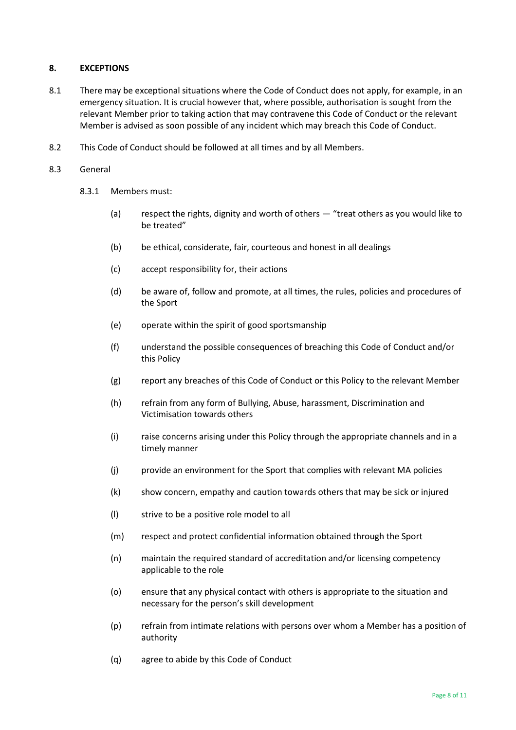## **8. EXCEPTIONS**

- 8.1 There may be exceptional situations where the Code of Conduct does not apply, for example, in an emergency situation. It is crucial however that, where possible, authorisation is sought from the relevant Member prior to taking action that may contravene this Code of Conduct or the relevant Member is advised as soon possible of any incident which may breach this Code of Conduct.
- 8.2 This Code of Conduct should be followed at all times and by all Members.

### 8.3 General

- 8.3.1 Members must:
	- (a) respect the rights, dignity and worth of others "treat others as you would like to be treated"
	- (b) be ethical, considerate, fair, courteous and honest in all dealings
	- (c) accept responsibility for, their actions
	- (d) be aware of, follow and promote, at all times, the rules, policies and procedures of the Sport
	- (e) operate within the spirit of good sportsmanship
	- (f) understand the possible consequences of breaching this Code of Conduct and/or this Policy
	- (g) report any breaches of this Code of Conduct or this Policy to the relevant Member
	- (h) refrain from any form of Bullying, Abuse, harassment, Discrimination and Victimisation towards others
	- (i) raise concerns arising under this Policy through the appropriate channels and in a timely manner
	- (j) provide an environment for the Sport that complies with relevant MA policies
	- (k) show concern, empathy and caution towards others that may be sick or injured
	- (l) strive to be a positive role model to all
	- (m) respect and protect confidential information obtained through the Sport
	- (n) maintain the required standard of accreditation and/or licensing competency applicable to the role
	- (o) ensure that any physical contact with others is appropriate to the situation and necessary for the person's skill development
	- (p) refrain from intimate relations with persons over whom a Member has a position of authority
	- (q) agree to abide by this Code of Conduct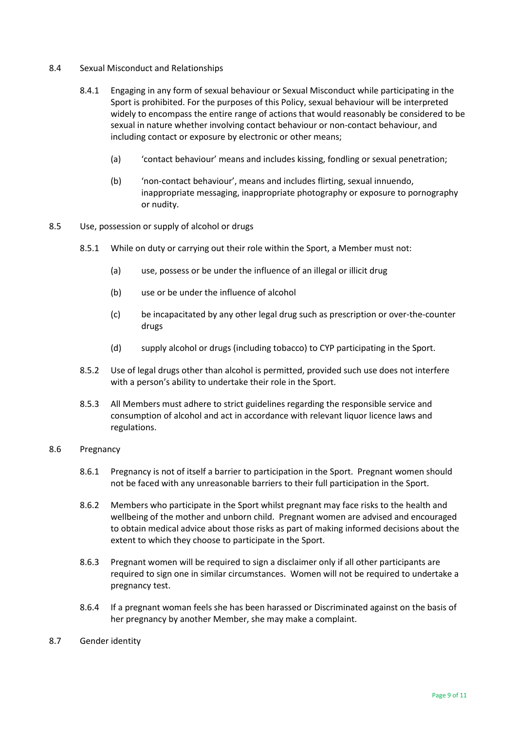- 8.4 Sexual Misconduct and Relationships
	- 8.4.1 Engaging in any form of sexual behaviour or Sexual Misconduct while participating in the Sport is prohibited. For the purposes of this Policy, sexual behaviour will be interpreted widely to encompass the entire range of actions that would reasonably be considered to be sexual in nature whether involving contact behaviour or non-contact behaviour, and including contact or exposure by electronic or other means;
		- (a) 'contact behaviour' means and includes kissing, fondling or sexual penetration;
		- (b) 'non-contact behaviour', means and includes flirting, sexual innuendo, inappropriate messaging, inappropriate photography or exposure to pornography or nudity.
- 8.5 Use, possession or supply of alcohol or drugs
	- 8.5.1 While on duty or carrying out their role within the Sport, a Member must not:
		- (a) use, possess or be under the influence of an illegal or illicit drug
		- (b) use or be under the influence of alcohol
		- (c) be incapacitated by any other legal drug such as prescription or over-the-counter drugs
		- (d) supply alcohol or drugs (including tobacco) to CYP participating in the Sport.
	- 8.5.2 Use of legal drugs other than alcohol is permitted, provided such use does not interfere with a person's ability to undertake their role in the Sport.
	- 8.5.3 All Members must adhere to strict guidelines regarding the responsible service and consumption of alcohol and act in accordance with relevant liquor licence laws and regulations.

#### 8.6 Pregnancy

- 8.6.1 Pregnancy is not of itself a barrier to participation in the Sport. Pregnant women should not be faced with any unreasonable barriers to their full participation in the Sport.
- 8.6.2 Members who participate in the Sport whilst pregnant may face risks to the health and wellbeing of the mother and unborn child. Pregnant women are advised and encouraged to obtain medical advice about those risks as part of making informed decisions about the extent to which they choose to participate in the Sport.
- 8.6.3 Pregnant women will be required to sign a disclaimer only if all other participants are required to sign one in similar circumstances. Women will not be required to undertake a pregnancy test.
- 8.6.4 If a pregnant woman feels she has been harassed or Discriminated against on the basis of her pregnancy by another Member, she may make a complaint.
- 8.7 Gender identity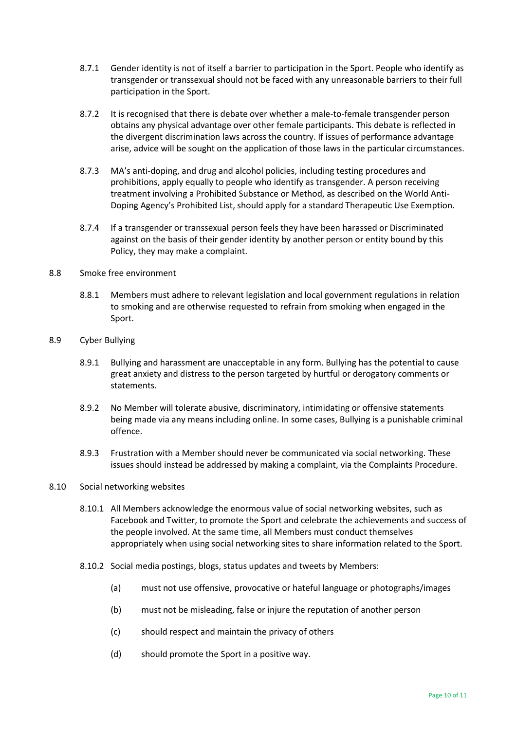- 8.7.1 Gender identity is not of itself a barrier to participation in the Sport. People who identify as transgender or transsexual should not be faced with any unreasonable barriers to their full participation in the Sport.
- 8.7.2 It is recognised that there is debate over whether a male-to-female transgender person obtains any physical advantage over other female participants. This debate is reflected in the divergent discrimination laws across the country. If issues of performance advantage arise, advice will be sought on the application of those laws in the particular circumstances.
- 8.7.3 MA's anti-doping, and drug and alcohol policies, including testing procedures and prohibitions, apply equally to people who identify as transgender. A person receiving treatment involving a Prohibited Substance or Method, as described on the World Anti-Doping Agency's Prohibited List, should apply for a standard Therapeutic Use Exemption.
- 8.7.4 If a transgender or transsexual person feels they have been harassed or Discriminated against on the basis of their gender identity by another person or entity bound by this Policy, they may make a complaint.

## 8.8 Smoke free environment

- 8.8.1 Members must adhere to relevant legislation and local government regulations in relation to smoking and are otherwise requested to refrain from smoking when engaged in the Sport.
- 8.9 Cyber Bullying
	- 8.9.1 Bullying and harassment are unacceptable in any form. Bullying has the potential to cause great anxiety and distress to the person targeted by hurtful or derogatory comments or statements.
	- 8.9.2 No Member will tolerate abusive, discriminatory, intimidating or offensive statements being made via any means including online. In some cases, Bullying is a punishable criminal offence.
	- 8.9.3 Frustration with a Member should never be communicated via social networking. These issues should instead be addressed by making a complaint, via the Complaints Procedure.

## 8.10 Social networking websites

- 8.10.1 All Members acknowledge the enormous value of social networking websites, such as Facebook and Twitter, to promote the Sport and celebrate the achievements and success of the people involved. At the same time, all Members must conduct themselves appropriately when using social networking sites to share information related to the Sport.
- 8.10.2 Social media postings, blogs, status updates and tweets by Members:
	- (a) must not use offensive, provocative or hateful language or photographs/images
	- (b) must not be misleading, false or injure the reputation of another person
	- (c) should respect and maintain the privacy of others
	- (d) should promote the Sport in a positive way.